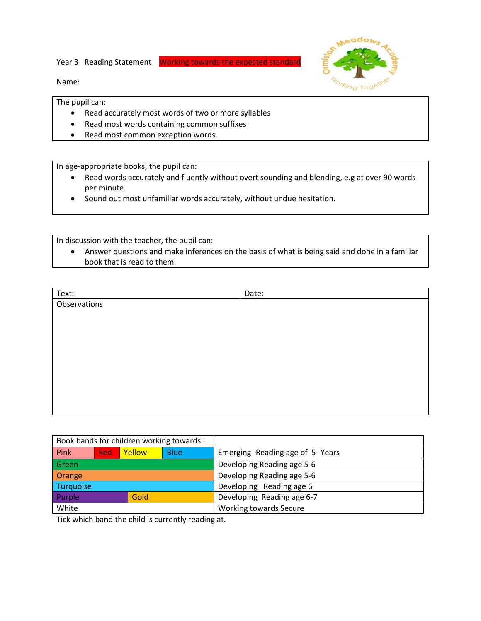Year 3 Reading Statement Working towards the expected standard



Tking Tog

The pupil can:

- Read accurately most words of two or more syllables
- Read most words containing common suffixes
- Read most common exception words.

In age-appropriate books, the pupil can:

- Read words accurately and fluently without overt sounding and blending, e.g at over 90 words per minute.
- Sound out most unfamiliar words accurately, without undue hesitation.

In discussion with the teacher, the pupil can:

 Answer questions and make inferences on the basis of what is being said and done in a familiar book that is read to them.

| Text:        | Date: |
|--------------|-------|
| Observations |       |
|              |       |
|              |       |
|              |       |
|              |       |
|              |       |
|              |       |
|              |       |
|              |       |
|              |       |

| Book bands for children working towards : |            |        |                            |                                 |
|-------------------------------------------|------------|--------|----------------------------|---------------------------------|
| Pink                                      | <b>Red</b> | Yellow | <b>Blue</b>                | Emerging-Reading age of 5-Years |
| Green                                     |            |        | Developing Reading age 5-6 |                                 |
| Orange                                    |            |        | Developing Reading age 5-6 |                                 |
| Turquoise                                 |            |        | Developing Reading age 6   |                                 |
| Purple                                    |            | Gold   |                            | Developing Reading age 6-7      |
| White                                     |            |        |                            | <b>Working towards Secure</b>   |

Tick which band the child is currently reading at.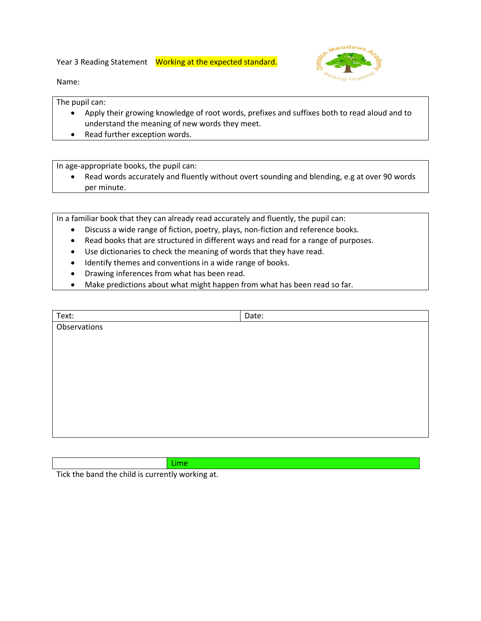Year 3 Reading Statement Working at the expected standard.



Name:

The pupil can:

- Apply their growing knowledge of root words, prefixes and suffixes both to read aloud and to understand the meaning of new words they meet.
- Read further exception words.

In age-appropriate books, the pupil can:

 Read words accurately and fluently without overt sounding and blending, e.g at over 90 words per minute.

In a familiar book that they can already read accurately and fluently, the pupil can:

- Discuss a wide range of fiction, poetry, plays, non-fiction and reference books.
- Read books that are structured in different ways and read for a range of purposes.
- Use dictionaries to check the meaning of words that they have read.
- Identify themes and conventions in a wide range of books.
- Drawing inferences from what has been read.
- Make predictions about what might happen from what has been read so far.

| Text:        | Date: |
|--------------|-------|
| Observations |       |
|              |       |
|              |       |
|              |       |
|              |       |
|              |       |
|              |       |
|              |       |
|              |       |
|              |       |

Lime

Tick the band the child is currently working at.